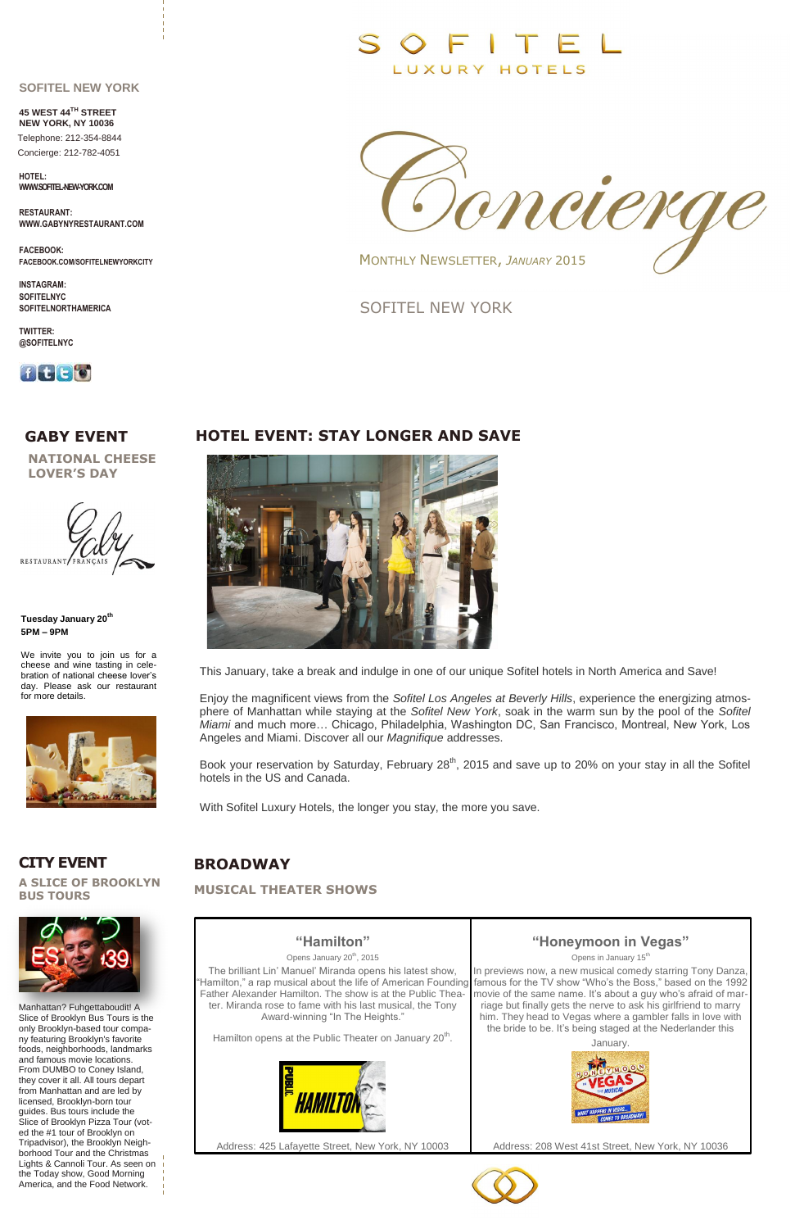## **GABY EVENT HOTEL EVENT: STAY LONGER AND SAVE**



## **CITY EVENT BROADWAY**

SOFITEL NEW YORK

## **"Hamilton"**

Opens January 20<sup>th</sup>, 2015

The brilliant Lin' Manuel' Miranda opens his latest show, "Hamilton," a rap musical about the life of American Founding Father Alexander Hamilton. The show is at the Public Theater. Miranda rose to fame with his last musical, the Tony Award-winning "In The Heights."

Hamilton opens at the Public Theater on January 20<sup>th</sup>.



Address: 425 Lafayette Street, New York, NY 10003

## **"Honeymoon in Vegas"**

Opens in January 15<sup>th</sup>

In previews now, a new musical comedy starring Tony Danza, famous for the TV show "Who's the Boss," based on the 1992 movie of the same name. It's about a guy who's afraid of marriage but finally gets the nerve to ask his girlfriend to marry him. They head to Vegas where a gambler falls in love with the bride to be. It's being staged at the Nederlander this



Address: 208 West 41st Street, New York, NY 10036



### **SOFITEL NEW YORK**

**45 WEST 44TH STREET NEW YORK, NY 10036**

 Telephone: 212-354-8844 Concierge: 212-782-4051

**HOTEL: WWW.SOFITEL-NEW-YORK.COM**

**RESTAURANT: WWW.GABYNYRESTAURANT.COM**

**FACEBOOK: FACEBOOK.COM/SOFITELNEWYORKCITY**

**INSTAGRAM: SOFITELNYC SOFITELNORTHAMERICA**

**TWITTER: @SOFITELNYC**



**NATIONAL CHEESE LOVER'S DAY**



Book your reservation by Saturday, February 28<sup>th</sup>, 2015 and save up to 20% on your stay in all the Sofitel hotels in the US and Canada.

Manhattan? Fuhgettaboudit! A Slice of Brooklyn Bus Tours is the only Brooklyn-based tour company featuring Brooklyn's favorite foods, neighborhoods, landmarks and famous movie locations. From DUMBO to Coney Island, they cover it all. All tours depart from Manhattan and are led by licensed, Brooklyn-born tour guides. Bus tours include the Slice of Brooklyn Pizza Tour (voted the #1 tour of Brooklyn on Tripadvisor), the Brooklyn Neighborhood Tour and the Christmas Lights & Cannoli Tour. As seen on the Today show, Good Morning America, and the Food Network.

**MUSICAL THEATER SHOWS**

**Tuesday January 20th 5PM – 9PM**

We invite you to join us for a cheese and wine tasting in celebration of national cheese lover's day. Please ask our restaurant for more details.



# $F \cup T$ LUXURY HOTELS



MONTHLY NEWSLETTER, *JANUARY* 2015

**A SLICE OF BROOKLYN BUS TOURS**



This January, take a break and indulge in one of our unique Sofitel hotels in North America and Save!

Enjoy the magnificent views from the *Sofitel Los Angeles at Beverly Hills*, experience the energizing atmosphere of Manhattan while staying at the *Sofitel New York*, soak in the warm sun by the pool of the *Sofitel Miami* and much more… Chicago, Philadelphia, Washington DC, San Francisco, Montreal, New York, Los Angeles and Miami. Discover all our *Magnifique* addresses.

With Sofitel Luxury Hotels, the longer you stay, the more you save.